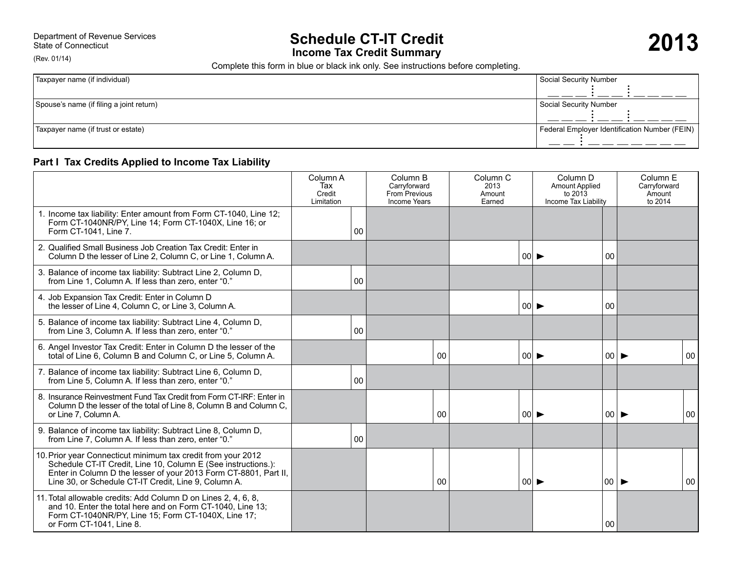(Rev. 01/14)

# Department of Revenue Services<br>State of Connecticut<br> **Income Tax Credit Summary Department of Revenue Services**

Complete this form in blue or black ink only. See instructions before completing.

| Taxpayer name (if individual)            | Social Security Number                        |  |  |
|------------------------------------------|-----------------------------------------------|--|--|
|                                          |                                               |  |  |
| Spouse's name (if filing a joint return) | Social Security Number                        |  |  |
|                                          |                                               |  |  |
| Taxpayer name (if trust or estate)       | Federal Employer Identification Number (FEIN) |  |  |

# **Part I Tax Credits Applied to Income Tax Liability**

|                                                                                                                                                                                                                                                           | Column A<br>Tax<br>Credit<br>Limitation |    | Column B<br>Carryforward<br>From Previous<br><b>Income Years</b> |                 | Column <sub>C</sub><br>2013<br>Amount<br>Earned |                            | Column <sub>D</sub><br><b>Amount Applied</b><br>to $2013$<br>Income Tax Liability |                          | Column E<br>Carryforward<br>Amount<br>to 2014 |    |
|-----------------------------------------------------------------------------------------------------------------------------------------------------------------------------------------------------------------------------------------------------------|-----------------------------------------|----|------------------------------------------------------------------|-----------------|-------------------------------------------------|----------------------------|-----------------------------------------------------------------------------------|--------------------------|-----------------------------------------------|----|
| 1. Income tax liability: Enter amount from Form CT-1040, Line 12;<br>Form CT-1040NR/PY, Line 14; Form CT-1040X, Line 16; or<br>Form CT-1041, Line 7.                                                                                                      |                                         | 00 |                                                                  |                 |                                                 |                            |                                                                                   |                          |                                               |    |
| 2. Qualified Small Business Job Creation Tax Credit: Enter in<br>Column D the lesser of Line 2, Column C, or Line 1, Column A.                                                                                                                            |                                         |    |                                                                  |                 |                                                 | $ 00  \blacktriangleright$ |                                                                                   | 00                       |                                               |    |
| 3. Balance of income tax liability: Subtract Line 2, Column D,<br>from Line 1, Column A. If less than zero, enter "0."                                                                                                                                    |                                         | 00 |                                                                  |                 |                                                 |                            |                                                                                   |                          |                                               |    |
| 4. Job Expansion Tax Credit: Enter in Column D<br>the lesser of Line 4, Column C, or Line 3, Column A.                                                                                                                                                    |                                         |    |                                                                  |                 |                                                 | 00                         |                                                                                   | 00                       |                                               |    |
| 5. Balance of income tax liability: Subtract Line 4, Column D,<br>from Line 3, Column A. If less than zero, enter "0."                                                                                                                                    |                                         | 00 |                                                                  |                 |                                                 |                            |                                                                                   |                          |                                               |    |
| 6. Angel Investor Tax Credit: Enter in Column D the lesser of the<br>total of Line 6, Column B and Column C, or Line 5, Column A.                                                                                                                         |                                         |    |                                                                  | $00\,$          |                                                 | $ 00  \blacktriangleright$ |                                                                                   |                          | 00                                            | 00 |
| 7. Balance of income tax liability: Subtract Line 6, Column D,<br>from Line 5, Column A. If less than zero, enter "0."                                                                                                                                    |                                         | 00 |                                                                  |                 |                                                 |                            |                                                                                   |                          |                                               |    |
| 8. Insurance Reinvestment Fund Tax Credit from Form CT-IRF: Enter in<br>Column D the lesser of the total of Line 8, Column B and Column C,<br>or Line 7. Column A.                                                                                        |                                         |    |                                                                  | 0 <sub>0</sub>  |                                                 | 00                         |                                                                                   |                          | 00                                            | 00 |
| 9. Balance of income tax liability: Subtract Line 8, Column D,<br>from Line 7, Column A. If less than zero, enter "0."                                                                                                                                    |                                         | 00 |                                                                  |                 |                                                 |                            |                                                                                   |                          |                                               |    |
| 10. Prior year Connecticut minimum tax credit from your 2012<br>Schedule CT-IT Credit, Line 10, Column E (See instructions.):<br>Enter in Column D the lesser of your 2013 Form CT-8801, Part II,<br>Line 30, or Schedule CT-IT Credit, Line 9, Column A. |                                         |    |                                                                  | 00 <sup>1</sup> |                                                 | $ 00  \blacktriangleright$ |                                                                                   | $00 \blacktriangleright$ |                                               | 00 |
| 11. Total allowable credits: Add Column D on Lines 2, 4, 6, 8,<br>and 10. Enter the total here and on Form CT-1040, Line 13;<br>Form CT-1040NR/PY, Line 15; Form CT-1040X, Line 17;<br>or Form CT-1041, Line 8.                                           |                                         |    |                                                                  |                 |                                                 |                            |                                                                                   | 00                       |                                               |    |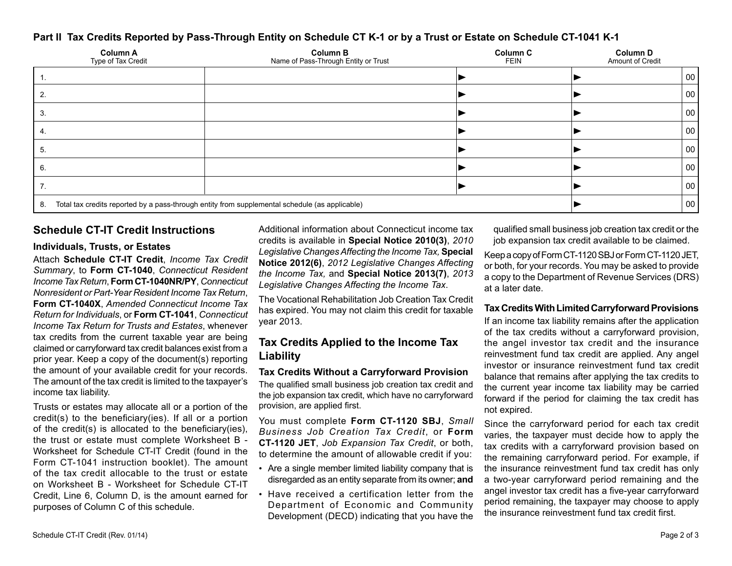# **Part II Tax Credits Reported by Pass-Through Entity on Schedule CT K-1 or by a Trust or Estate on Schedule CT-1041 K-1**

| <b>Column A</b><br>Type of Tax Credit                                                                | <b>Column B</b><br>Name of Pass-Through Entity or Trust | Column C<br><b>FEIN</b> | Column D<br>Amount of Credit |    |  |  |
|------------------------------------------------------------------------------------------------------|---------------------------------------------------------|-------------------------|------------------------------|----|--|--|
|                                                                                                      |                                                         |                         |                              | 00 |  |  |
|                                                                                                      |                                                         |                         |                              | 00 |  |  |
|                                                                                                      |                                                         |                         |                              | 00 |  |  |
|                                                                                                      |                                                         |                         |                              | 00 |  |  |
| э.                                                                                                   |                                                         |                         |                              | 00 |  |  |
| 6.                                                                                                   |                                                         |                         |                              | 00 |  |  |
|                                                                                                      |                                                         |                         |                              | 00 |  |  |
| Total tax credits reported by a pass-through entity from supplemental schedule (as applicable)<br>8. |                                                         | 00                      |                              |    |  |  |

## **Schedule CT-IT Credit Instructions**

#### **Individuals, Trusts, or Estates**

Attach **Schedule CT-IT Credit**, *Income Tax Credit Summary*, to **Form CT-1040**, *Connecticut Resident Income Tax Return*, **Form CT-1040NR/PY**, *Connecticut Nonresident or Part-Year Resident Income Tax Return*, **Form CT-1040X**, *Amended Connecticut Income Tax Return for Individuals*, or **Form CT-1041**, *Connecticut Income Tax Return for Trusts and Estates*, whenever tax credits from the current taxable year are being claimed or carryforward tax credit balances exist from a prior year. Keep a copy of the document(s) reporting the amount of your available credit for your records. The amount of the tax credit is limited to the taxpayer's income tax liability.

Trusts or estates may allocate all or a portion of the credit(s) to the beneficiary(ies). If all or a portion of the credit(s) is allocated to the beneficiary(ies), the trust or estate must complete Worksheet B - Worksheet for Schedule CT-IT Credit (found in the Form CT-1041 instruction booklet). The amount of the tax credit allocable to the trust or estate on Worksheet B - Worksheet for Schedule CT-IT Credit, Line 6, Column D, is the amount earned for purposes of Column C of this schedule.

Additional information about Connecticut income tax credits is available in **Special Notice 2010(3)**, *2010 Legislative Changes Affecting the Income Tax,* **Special Notice 2012(6)**, *2012 Legislative Changes Affecting the Income Tax,* and **Special Notice 2013(7)**, *2013 Legislative Changes Affecting the Income Tax*.

The Vocational Rehabilitation Job Creation Tax Credit has expired. You may not claim this credit for taxable year 2013.

# **Tax Credits Applied to the Income Tax Liability**

**Tax Credits Without a Carryforward Provision** The qualified small business job creation tax credit and the job expansion tax credit, which have no carryforward provision, are applied first.

You must complete **Form CT-1120 SBJ**, *Small Business Job Creation Tax Credit*, or **Form CT-1120 JET**, *Job Expansion Tax Credit*, or both, to determine the amount of allowable credit if you:

- Are a single member limited liability company that is disregarded as an entity separate from its owner; **and**
- Have received a certification letter from the Department of Economic and Community Development (DECD) indicating that you have the

qualified small business job creation tax credit or the job expansion tax credit available to be claimed.

KeepacopyofFormCT-1120SBJorFormCT-1120JET, or both, for your records. You may be asked to provide a copy to the Department of Revenue Services (DRS) at a later date.

## **Tax Credits With Limited Carryforward Provisions**

If an income tax liability remains after the application of the tax credits without a carryforward provision, the angel investor tax credit and the insurance reinvestment fund tax credit are applied. Any angel investor or insurance reinvestment fund tax credit balance that remains after applying the tax credits to the current year income tax liability may be carried forward if the period for claiming the tax credit has not expired.

Since the carryforward period for each tax credit varies, the taxpayer must decide how to apply the tax credits with a carryforward provision based on the remaining carryforward period. For example, if the insurance reinvestment fund tax credit has only a two-year carryforward period remaining and the angel investor tax credit has a five-year carryforward period remaining, the taxpayer may choose to apply the insurance reinvestment fund tax credit first.